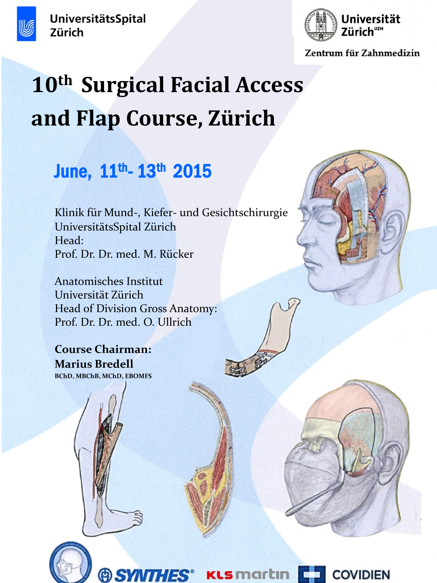

UniversitätsSpital Zürich



Zentrum für Zahnmedizin

# **10th Surgical Facial Access and Flap Course, Zürich**

## June, 11<sup>th</sup>- 13<sup>th</sup> 2015

Klinik für Mund-, Kiefer- und Gesichtschirurgie UniversitätsSpital Zürich Head: Prof. Dr. Dr. med. M. Rücker

Anatomisches Institut Universität Zürich Head of Division Gross Anatomy: Prof. Dr. Dr. med. O. Ullrich

**Course Chairman: Marius Bredell BChD, MBChB, MChD, EBOMFS**



**Ls** martın

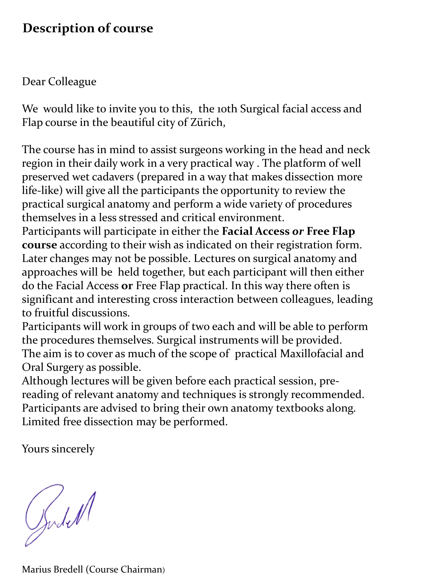## **Description of course**

## Dear Colleague

We would like to invite you to this, the 10th Surgical facial access and Flap course in the beautiful city of Zürich,

The course has in mind to assist surgeons working in the head and neck region in their daily work in a very practical way . The platform of well preserved wet cadavers (prepared in a way that makes dissection more life-like) will give all the participants the opportunity to review the practical surgical anatomy and perform a wide variety of procedures themselves in a less stressed and critical environment.

Participants will participate in either the **Facial Access** *or* **Free Flap course** according to their wish as indicated on their registration form. Later changes may not be possible. Lectures on surgical anatomy and approaches will be held together, but each participant will then either do the Facial Access **or** Free Flap practical. In this way there often is significant and interesting cross interaction between colleagues, leading to fruitful discussions.

Participants will work in groups of two each and will be able to perform the procedures themselves. Surgical instruments will be provided. The aim is to cover as much of the scope of practical Maxillofacial and Oral Surgery as possible.

Although lectures will be given before each practical session, prereading of relevant anatomy and techniques is strongly recommended. Participants are advised to bring their own anatomy textbooks along. Limited free dissection may be performed.

Yours sincerely

Judell

Marius Bredell (Course Chairman)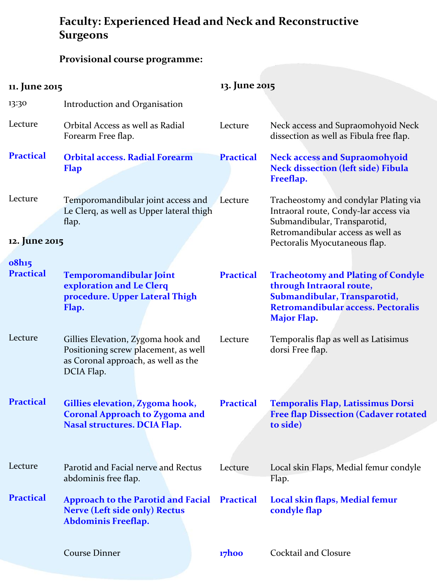## **Faculty: Experienced Head and Neck and Reconstructive Surgeons**

## **Provisional course programme:**

| 11. June 2015                                  |                                                                                                                                 | 13. June 2015    |                                                                                                                                                                   |
|------------------------------------------------|---------------------------------------------------------------------------------------------------------------------------------|------------------|-------------------------------------------------------------------------------------------------------------------------------------------------------------------|
| 13:30                                          | Introduction and Organisation                                                                                                   |                  |                                                                                                                                                                   |
| Lecture                                        | Orbital Access as well as Radial<br>Forearm Free flap.                                                                          | Lecture          | Neck access and Supraomohyoid Neck<br>dissection as well as Fibula free flap.                                                                                     |
| <b>Practical</b>                               | <b>Orbital access. Radial Forearm</b><br><b>Flap</b>                                                                            | <b>Practical</b> | <b>Neck access and Supraomohyoid</b><br><b>Neck dissection (left side) Fibula</b><br>Freeflap.                                                                    |
| Lecture                                        | Temporomandibular joint access and<br>Le Clerq, as well as Upper lateral thigh<br>flap.                                         | Lecture          | Tracheostomy and condylar Plating via<br>Intraoral route, Condy-lar access via<br>Submandibular, Transparotid,<br>Retromandibular access as well as               |
| 12. June 2015<br>Pectoralis Myocutaneous flap. |                                                                                                                                 |                  |                                                                                                                                                                   |
| <b>o8h15</b>                                   |                                                                                                                                 |                  |                                                                                                                                                                   |
| <b>Practical</b>                               | <b>Temporomandibular Joint</b><br>exploration and Le Clerq<br>procedure. Upper Lateral Thigh<br>Flap.                           | <b>Practical</b> | <b>Tracheotomy and Plating of Condyle</b><br>through Intraoral route,<br>Submandibular, Transparotid,<br>Retromandibular access. Pectoralis<br><b>Major Flap.</b> |
| Lecture                                        | Gillies Elevation, Zygoma hook and<br>Positioning screw placement, as well<br>as Coronal approach, as well as the<br>DCIA Flap. | Lecture          | Temporalis flap as well as Latisimus<br>dorsi Free flap.                                                                                                          |
| <b>Practical</b>                               | Gillies elevation, Zygoma hook,<br><b>Coronal Approach to Zygoma and</b><br><b>Nasal structures. DCIA Flap.</b>                 | <b>Practical</b> | <b>Temporalis Flap, Latissimus Dorsi</b><br><b>Free flap Dissection (Cadaver rotated</b><br>to side)                                                              |
| Lecture                                        | Parotid and Facial nerve and Rectus<br>abdominis free flap.                                                                     | Lecture          | Local skin Flaps, Medial femur condyle<br>Flap.                                                                                                                   |
| <b>Practical</b>                               | <b>Approach to the Parotid and Facial Practical</b><br><b>Nerve (Left side only) Rectus</b><br>Abdominis Freeflap.              |                  | Local skin flaps, Medial femur<br>condyle flap                                                                                                                    |
|                                                | <b>Course Dinner</b>                                                                                                            | 17hoo            | Cocktail and Closure                                                                                                                                              |